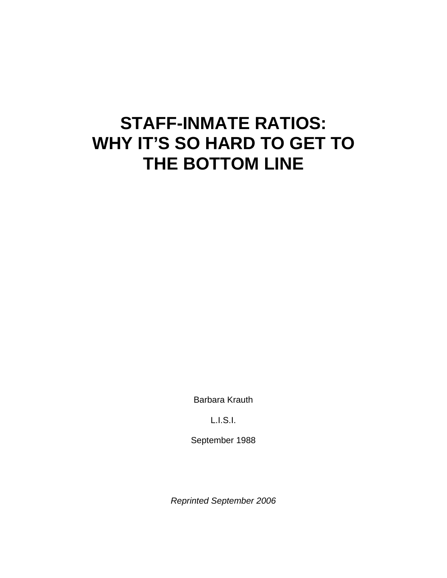# **STAFF-INMATE RATIOS: WHY IT'S SO HARD TO GET TO THE BOTTOM LINE**

Barbara Krauth

L.I.S.I.

September 1988

*Reprinted September 2006*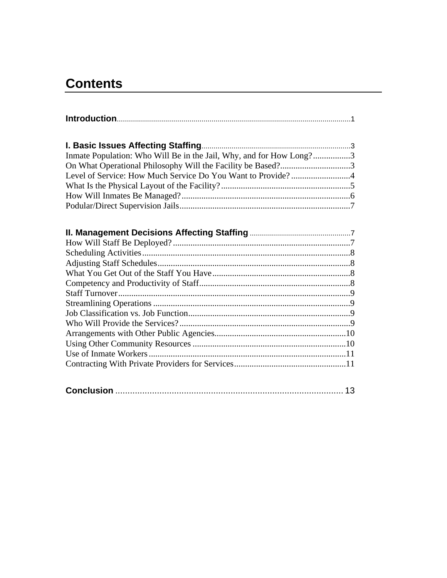# **Contents**

| Inmate Population: Who Will Be in the Jail, Why, and for How Long?3 |
|---------------------------------------------------------------------|
| On What Operational Philosophy Will the Facility be Based?3         |
|                                                                     |
|                                                                     |
|                                                                     |
|                                                                     |
|                                                                     |
|                                                                     |
|                                                                     |
|                                                                     |
|                                                                     |
|                                                                     |
|                                                                     |
|                                                                     |
|                                                                     |
|                                                                     |
|                                                                     |
|                                                                     |
|                                                                     |
|                                                                     |
|                                                                     |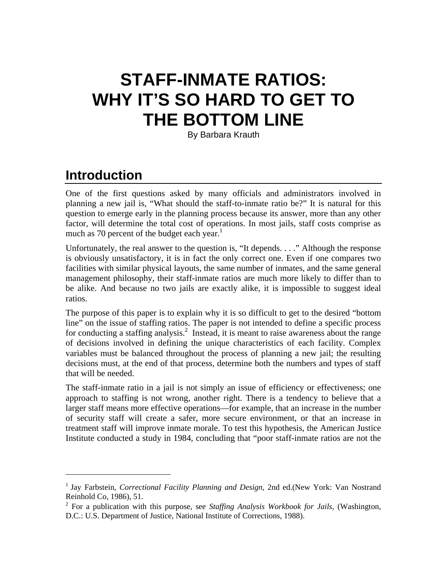# **STAFF-INMATE RATIOS: WHY IT'S SO HARD TO GET TO THE BOTTOM LINE**

By Barbara Krauth

# **Introduction**

1

One of the first questions asked by many officials and administrators involved in planning a new jail is, "What should the staff-to-inmate ratio be?" It is natural for this question to emerge early in the planning process because its answer, more than any other factor, will determine the total cost of operations. In most jails, staff costs comprise as much as 70 percent of the budget each year. $<sup>1</sup>$ </sup>

Unfortunately, the real answer to the question is, "It depends. . . ." Although the response is obviously unsatisfactory, it is in fact the only correct one. Even if one compares two facilities with similar physical layouts, the same number of inmates, and the same general management philosophy, their staff-inmate ratios are much more likely to differ than to be alike. And because no two jails are exactly alike, it is impossible to suggest ideal ratios.

The purpose of this paper is to explain why it is so difficult to get to the desired "bottom line" on the issue of staffing ratios. The paper is not intended to define a specific process for conducting a staffing analysis.<sup>2</sup> Instead, it is meant to raise awareness about the range of decisions involved in defining the unique characteristics of each facility. Complex variables must be balanced throughout the process of planning a new jail; the resulting decisions must, at the end of that process, determine both the numbers and types of staff that will be needed.

The staff-inmate ratio in a jail is not simply an issue of efficiency or effectiveness; one approach to staffing is not wrong, another right. There is a tendency to believe that a larger staff means more effective operations—for example, that an increase in the number of security staff will create a safer, more secure environment, or that an increase in treatment staff will improve inmate morale. To test this hypothesis, the American Justice Institute conducted a study in 1984, concluding that "poor staff-inmate ratios are not the

<sup>&</sup>lt;sup>1</sup> Jay Farbstein, *Correctional Facility Planning and Design*, 2nd ed.(New York: Van Nostrand Reinhold Co, 1986), 51. 2

For a publication with this purpose, see *Staffing Analysis Workbook for Jails*, (Washington, D.C.: U.S. Department of Justice, National Institute of Corrections, 1988).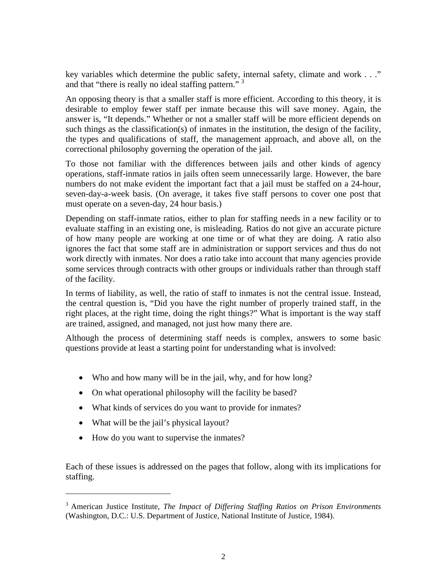key variables which determine the public safety, internal safety, climate and work . . ." and that "there is really no ideal staffing pattern."<sup>3</sup>

An opposing theory is that a smaller staff is more efficient. According to this theory, it is desirable to employ fewer staff per inmate because this will save money. Again, the answer is, "It depends." Whether or not a smaller staff will be more efficient depends on such things as the classification(s) of inmates in the institution, the design of the facility, the types and qualifications of staff, the management approach, and above all, on the correctional philosophy governing the operation of the jail.

To those not familiar with the differences between jails and other kinds of agency operations, staff-inmate ratios in jails often seem unnecessarily large. However, the bare numbers do not make evident the important fact that a jail must be staffed on a 24-hour, seven-day-a-week basis. (On average, it takes five staff persons to cover one post that must operate on a seven-day, 24 hour basis.)

Depending on staff-inmate ratios, either to plan for staffing needs in a new facility or to evaluate staffing in an existing one, is misleading. Ratios do not give an accurate picture of how many people are working at one time or of what they are doing. A ratio also ignores the fact that some staff are in administration or support services and thus do not work directly with inmates. Nor does a ratio take into account that many agencies provide some services through contracts with other groups or individuals rather than through staff of the facility.

In terms of liability, as well, the ratio of staff to inmates is not the central issue. Instead, the central question is, "Did you have the right number of properly trained staff, in the right places, at the right time, doing the right things?" What is important is the way staff are trained, assigned, and managed, not just how many there are.

Although the process of determining staff needs is complex, answers to some basic questions provide at least a starting point for understanding what is involved:

- Who and how many will be in the jail, why, and for how long?
- On what operational philosophy will the facility be based?
- What kinds of services do you want to provide for inmates?
- What will be the jail's physical layout?

l

• How do you want to supervise the inmates?

Each of these issues is addressed on the pages that follow, along with its implications for staffing.

<sup>3</sup> American Justice Institute, *The Impact of Differing Staffing Ratios on Prison Environments* (Washington, D.C.: U.S. Department of Justice, National Institute of Justice, 1984).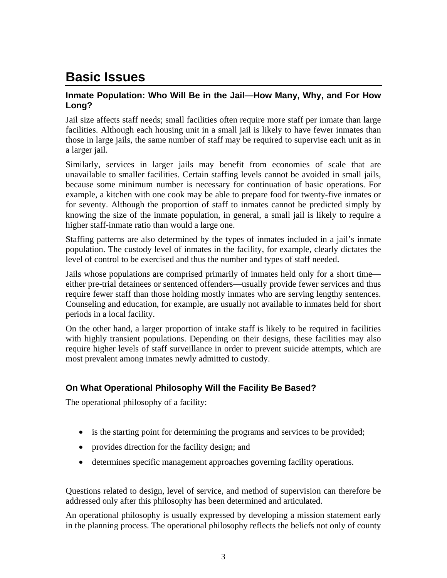# **Basic Issues**

### **Inmate Population: Who Will Be in the Jail—How Many, Why, and For How Long?**

Jail size affects staff needs; small facilities often require more staff per inmate than large facilities. Although each housing unit in a small jail is likely to have fewer inmates than those in large jails, the same number of staff may be required to supervise each unit as in a larger jail.

Similarly, services in larger jails may benefit from economies of scale that are unavailable to smaller facilities. Certain staffing levels cannot be avoided in small jails, because some minimum number is necessary for continuation of basic operations. For example, a kitchen with one cook may be able to prepare food for twenty-five inmates or for seventy. Although the proportion of staff to inmates cannot be predicted simply by knowing the size of the inmate population, in general, a small jail is likely to require a higher staff-inmate ratio than would a large one.

Staffing patterns are also determined by the types of inmates included in a jail's inmate population. The custody level of inmates in the facility, for example, clearly dictates the level of control to be exercised and thus the number and types of staff needed.

Jails whose populations are comprised primarily of inmates held only for a short time either pre-trial detainees or sentenced offenders—usually provide fewer services and thus require fewer staff than those holding mostly inmates who are serving lengthy sentences. Counseling and education, for example, are usually not available to inmates held for short periods in a local facility.

On the other hand, a larger proportion of intake staff is likely to be required in facilities with highly transient populations. Depending on their designs, these facilities may also require higher levels of staff surveillance in order to prevent suicide attempts, which are most prevalent among inmates newly admitted to custody.

# **On What Operational Philosophy Will the Facility Be Based?**

The operational philosophy of a facility:

- is the starting point for determining the programs and services to be provided;
- provides direction for the facility design; and
- determines specific management approaches governing facility operations.

Questions related to design, level of service, and method of supervision can therefore be addressed only after this philosophy has been determined and articulated.

An operational philosophy is usually expressed by developing a mission statement early in the planning process. The operational philosophy reflects the beliefs not only of county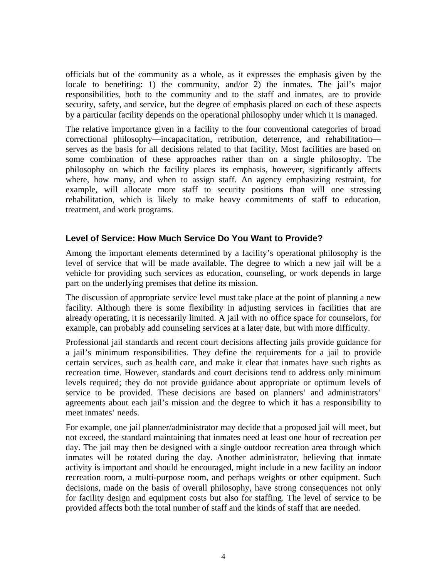officials but of the community as a whole, as it expresses the emphasis given by the locale to benefiting: 1) the community, and/or 2) the inmates. The jail's major responsibilities, both to the community and to the staff and inmates, are to provide security, safety, and service, but the degree of emphasis placed on each of these aspects by a particular facility depends on the operational philosophy under which it is managed.

The relative importance given in a facility to the four conventional categories of broad correctional philosophy—incapacitation, retribution, deterrence, and rehabilitation serves as the basis for all decisions related to that facility. Most facilities are based on some combination of these approaches rather than on a single philosophy. The philosophy on which the facility places its emphasis, however, significantly affects where, how many, and when to assign staff. An agency emphasizing restraint, for example, will allocate more staff to security positions than will one stressing rehabilitation, which is likely to make heavy commitments of staff to education, treatment, and work programs.

#### **Level of Service: How Much Service Do You Want to Provide?**

Among the important elements determined by a facility's operational philosophy is the level of service that will be made available. The degree to which a new jail will be a vehicle for providing such services as education, counseling, or work depends in large part on the underlying premises that define its mission.

The discussion of appropriate service level must take place at the point of planning a new facility. Although there is some flexibility in adjusting services in facilities that are already operating, it is necessarily limited. A jail with no office space for counselors, for example, can probably add counseling services at a later date, but with more difficulty.

Professional jail standards and recent court decisions affecting jails provide guidance for a jail's minimum responsibilities. They define the requirements for a jail to provide certain services, such as health care, and make it clear that inmates have such rights as recreation time. However, standards and court decisions tend to address only minimum levels required; they do not provide guidance about appropriate or optimum levels of service to be provided. These decisions are based on planners' and administrators' agreements about each jail's mission and the degree to which it has a responsibility to meet inmates' needs.

For example, one jail planner/administrator may decide that a proposed jail will meet, but not exceed, the standard maintaining that inmates need at least one hour of recreation per day. The jail may then be designed with a single outdoor recreation area through which inmates will be rotated during the day. Another administrator, believing that inmate activity is important and should be encouraged, might include in a new facility an indoor recreation room, a multi-purpose room, and perhaps weights or other equipment. Such decisions, made on the basis of overall philosophy, have strong consequences not only for facility design and equipment costs but also for staffing. The level of service to be provided affects both the total number of staff and the kinds of staff that are needed.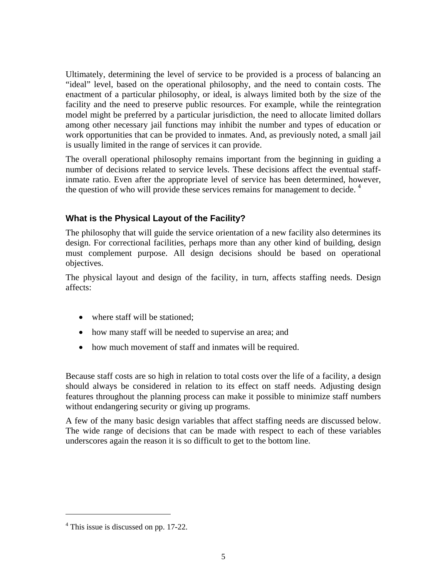Ultimately, determining the level of service to be provided is a process of balancing an "ideal" level, based on the operational philosophy, and the need to contain costs. The enactment of a particular philosophy, or ideal, is always limited both by the size of the facility and the need to preserve public resources. For example, while the reintegration model might be preferred by a particular jurisdiction, the need to allocate limited dollars among other necessary jail functions may inhibit the number and types of education or work opportunities that can be provided to inmates. And, as previously noted, a small jail is usually limited in the range of services it can provide.

The overall operational philosophy remains important from the beginning in guiding a number of decisions related to service levels. These decisions affect the eventual staffinmate ratio. Even after the appropriate level of service has been determined, however, the question of who will provide these services remains for management to decide.<sup>4</sup>

## **What is the Physical Layout of the Facility?**

The philosophy that will guide the service orientation of a new facility also determines its design. For correctional facilities, perhaps more than any other kind of building, design must complement purpose. All design decisions should be based on operational objectives.

The physical layout and design of the facility, in turn, affects staffing needs. Design affects:

- where staff will be stationed;
- how many staff will be needed to supervise an area; and
- how much movement of staff and inmates will be required.

Because staff costs are so high in relation to total costs over the life of a facility, a design should always be considered in relation to its effect on staff needs. Adjusting design features throughout the planning process can make it possible to minimize staff numbers without endangering security or giving up programs.

A few of the many basic design variables that affect staffing needs are discussed below. The wide range of decisions that can be made with respect to each of these variables underscores again the reason it is so difficult to get to the bottom line.

1

<sup>&</sup>lt;sup>4</sup> This issue is discussed on pp. 17-22.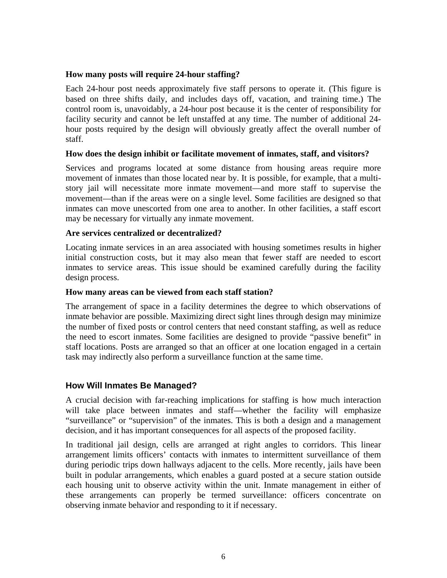#### **How many posts will require 24-hour staffing?**

Each 24-hour post needs approximately five staff persons to operate it. (This figure is based on three shifts daily, and includes days off, vacation, and training time.) The control room is, unavoidably, a 24-hour post because it is the center of responsibility for facility security and cannot be left unstaffed at any time. The number of additional 24 hour posts required by the design will obviously greatly affect the overall number of staff.

#### **How does the design inhibit or facilitate movement of inmates, staff, and visitors?**

Services and programs located at some distance from housing areas require more movement of inmates than those located near by. It is possible, for example, that a multistory jail will necessitate more inmate movement—and more staff to supervise the movement—than if the areas were on a single level. Some facilities are designed so that inmates can move unescorted from one area to another. In other facilities, a staff escort may be necessary for virtually any inmate movement.

#### **Are services centralized or decentralized?**

Locating inmate services in an area associated with housing sometimes results in higher initial construction costs, but it may also mean that fewer staff are needed to escort inmates to service areas. This issue should be examined carefully during the facility design process.

#### **How many areas can be viewed from each staff station?**

The arrangement of space in a facility determines the degree to which observations of inmate behavior are possible. Maximizing direct sight lines through design may minimize the number of fixed posts or control centers that need constant staffing, as well as reduce the need to escort inmates. Some facilities are designed to provide "passive benefit" in staff locations. Posts are arranged so that an officer at one location engaged in a certain task may indirectly also perform a surveillance function at the same time.

#### **How Will Inmates Be Managed?**

A crucial decision with far-reaching implications for staffing is how much interaction will take place between inmates and staff—whether the facility will emphasize "surveillance" or "supervision" of the inmates. This is both a design and a management decision, and it has important consequences for all aspects of the proposed facility.

In traditional jail design, cells are arranged at right angles to corridors. This linear arrangement limits officers' contacts with inmates to intermittent surveillance of them during periodic trips down hallways adjacent to the cells. More recently, jails have been built in podular arrangements, which enables a guard posted at a secure station outside each housing unit to observe activity within the unit. Inmate management in either of these arrangements can properly be termed surveillance: officers concentrate on observing inmate behavior and responding to it if necessary.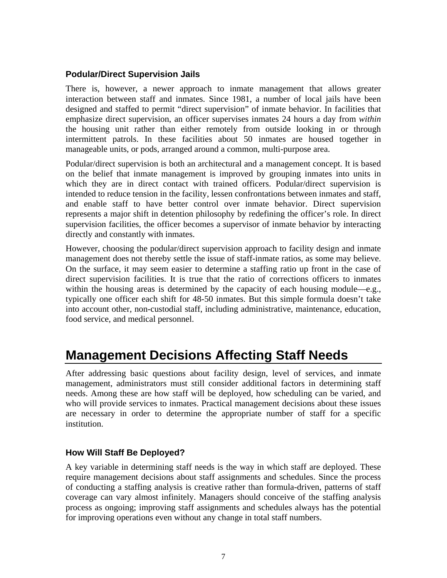### **Podular/Direct Supervision Jails**

There is, however, a newer approach to inmate management that allows greater interaction between staff and inmates. Since 1981, a number of local jails have been designed and staffed to permit "direct supervision" of inmate behavior. In facilities that emphasize direct supervision, an officer supervises inmates 24 hours a day from *within* the housing unit rather than either remotely from outside looking in or through intermittent patrols. In these facilities about 50 inmates are housed together in manageable units, or pods, arranged around a common, multi-purpose area.

Podular/direct supervision is both an architectural and a management concept. It is based on the belief that inmate management is improved by grouping inmates into units in which they are in direct contact with trained officers. Podular/direct supervision is intended to reduce tension in the facility, lessen confrontations between inmates and staff, and enable staff to have better control over inmate behavior. Direct supervision represents a major shift in detention philosophy by redefining the officer's role. In direct supervision facilities, the officer becomes a supervisor of inmate behavior by interacting directly and constantly with inmates.

However, choosing the podular/direct supervision approach to facility design and inmate management does not thereby settle the issue of staff-inmate ratios, as some may believe. On the surface, it may seem easier to determine a staffing ratio up front in the case of direct supervision facilities. It is true that the ratio of corrections officers to inmates within the housing areas is determined by the capacity of each housing module—e.g., typically one officer each shift for 48-50 inmates. But this simple formula doesn't take into account other, non-custodial staff, including administrative, maintenance, education, food service, and medical personnel.

# **Management Decisions Affecting Staff Needs**

After addressing basic questions about facility design, level of services, and inmate management, administrators must still consider additional factors in determining staff needs. Among these are how staff will be deployed, how scheduling can be varied, and who will provide services to inmates. Practical management decisions about these issues are necessary in order to determine the appropriate number of staff for a specific institution.

#### **How Will Staff Be Deployed?**

A key variable in determining staff needs is the way in which staff are deployed. These require management decisions about staff assignments and schedules. Since the process of conducting a staffing analysis is creative rather than formula-driven, patterns of staff coverage can vary almost infinitely. Managers should conceive of the staffing analysis process as ongoing; improving staff assignments and schedules always has the potential for improving operations even without any change in total staff numbers.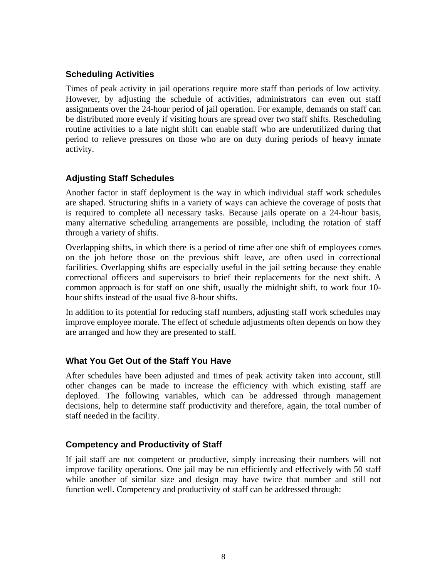### **Scheduling Activities**

Times of peak activity in jail operations require more staff than periods of low activity. However, by adjusting the schedule of activities, administrators can even out staff assignments over the 24-hour period of jail operation. For example, demands on staff can be distributed more evenly if visiting hours are spread over two staff shifts. Rescheduling routine activities to a late night shift can enable staff who are underutilized during that period to relieve pressures on those who are on duty during periods of heavy inmate activity.

### **Adjusting Staff Schedules**

Another factor in staff deployment is the way in which individual staff work schedules are shaped. Structuring shifts in a variety of ways can achieve the coverage of posts that is required to complete all necessary tasks. Because jails operate on a 24-hour basis, many alternative scheduling arrangements are possible, including the rotation of staff through a variety of shifts.

Overlapping shifts, in which there is a period of time after one shift of employees comes on the job before those on the previous shift leave, are often used in correctional facilities. Overlapping shifts are especially useful in the jail setting because they enable correctional officers and supervisors to brief their replacements for the next shift. A common approach is for staff on one shift, usually the midnight shift, to work four 10 hour shifts instead of the usual five 8-hour shifts.

In addition to its potential for reducing staff numbers, adjusting staff work schedules may improve employee morale. The effect of schedule adjustments often depends on how they are arranged and how they are presented to staff.

#### **What You Get Out of the Staff You Have**

After schedules have been adjusted and times of peak activity taken into account, still other changes can be made to increase the efficiency with which existing staff are deployed. The following variables, which can be addressed through management decisions, help to determine staff productivity and therefore, again, the total number of staff needed in the facility.

#### **Competency and Productivity of Staff**

If jail staff are not competent or productive, simply increasing their numbers will not improve facility operations. One jail may be run efficiently and effectively with 50 staff while another of similar size and design may have twice that number and still not function well. Competency and productivity of staff can be addressed through: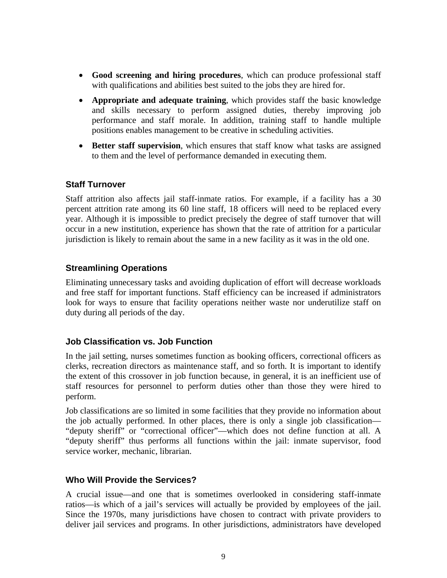- **Good screening and hiring procedures**, which can produce professional staff with qualifications and abilities best suited to the jobs they are hired for.
- **Appropriate and adequate training**, which provides staff the basic knowledge and skills necessary to perform assigned duties, thereby improving job performance and staff morale. In addition, training staff to handle multiple positions enables management to be creative in scheduling activities.
- **Better staff supervision**, which ensures that staff know what tasks are assigned to them and the level of performance demanded in executing them.

#### **Staff Turnover**

Staff attrition also affects jail staff-inmate ratios. For example, if a facility has a 30 percent attrition rate among its 60 line staff, 18 officers will need to be replaced every year. Although it is impossible to predict precisely the degree of staff turnover that will occur in a new institution, experience has shown that the rate of attrition for a particular jurisdiction is likely to remain about the same in a new facility as it was in the old one.

#### **Streamlining Operations**

Eliminating unnecessary tasks and avoiding duplication of effort will decrease workloads and free staff for important functions. Staff efficiency can be increased if administrators look for ways to ensure that facility operations neither waste nor underutilize staff on duty during all periods of the day.

#### **Job Classification vs. Job Function**

In the jail setting, nurses sometimes function as booking officers, correctional officers as clerks, recreation directors as maintenance staff, and so forth. It is important to identify the extent of this crossover in job function because, in general, it is an inefficient use of staff resources for personnel to perform duties other than those they were hired to perform.

Job classifications are so limited in some facilities that they provide no information about the job actually performed. In other places, there is only a single job classification— "deputy sheriff" or "correctional officer"—which does not define function at all. A "deputy sheriff" thus performs all functions within the jail: inmate supervisor, food service worker, mechanic, librarian.

#### **Who Will Provide the Services?**

A crucial issue—and one that is sometimes overlooked in considering staff-inmate ratios—is which of a jail's services will actually be provided by employees of the jail. Since the 1970s, many jurisdictions have chosen to contract with private providers to deliver jail services and programs. In other jurisdictions, administrators have developed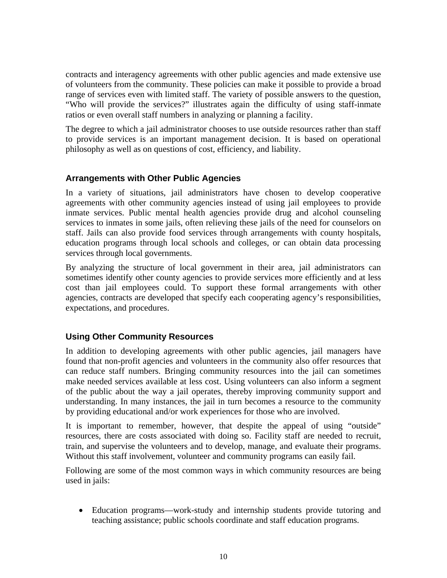contracts and interagency agreements with other public agencies and made extensive use of volunteers from the community. These policies can make it possible to provide a broad range of services even with limited staff. The variety of possible answers to the question, "Who will provide the services?" illustrates again the difficulty of using staff-inmate ratios or even overall staff numbers in analyzing or planning a facility.

The degree to which a jail administrator chooses to use outside resources rather than staff to provide services is an important management decision. It is based on operational philosophy as well as on questions of cost, efficiency, and liability.

### **Arrangements with Other Public Agencies**

In a variety of situations, jail administrators have chosen to develop cooperative agreements with other community agencies instead of using jail employees to provide inmate services. Public mental health agencies provide drug and alcohol counseling services to inmates in some jails, often relieving these jails of the need for counselors on staff. Jails can also provide food services through arrangements with county hospitals, education programs through local schools and colleges, or can obtain data processing services through local governments.

By analyzing the structure of local government in their area, jail administrators can sometimes identify other county agencies to provide services more efficiently and at less cost than jail employees could. To support these formal arrangements with other agencies, contracts are developed that specify each cooperating agency's responsibilities, expectations, and procedures.

## **Using Other Community Resources**

In addition to developing agreements with other public agencies, jail managers have found that non-profit agencies and volunteers in the community also offer resources that can reduce staff numbers. Bringing community resources into the jail can sometimes make needed services available at less cost. Using volunteers can also inform a segment of the public about the way a jail operates, thereby improving community support and understanding. In many instances, the jail in turn becomes a resource to the community by providing educational and/or work experiences for those who are involved.

It is important to remember, however, that despite the appeal of using "outside" resources, there are costs associated with doing so. Facility staff are needed to recruit, train, and supervise the volunteers and to develop, manage, and evaluate their programs. Without this staff involvement, volunteer and community programs can easily fail.

Following are some of the most common ways in which community resources are being used in jails:

• Education programs—work-study and internship students provide tutoring and teaching assistance; public schools coordinate and staff education programs.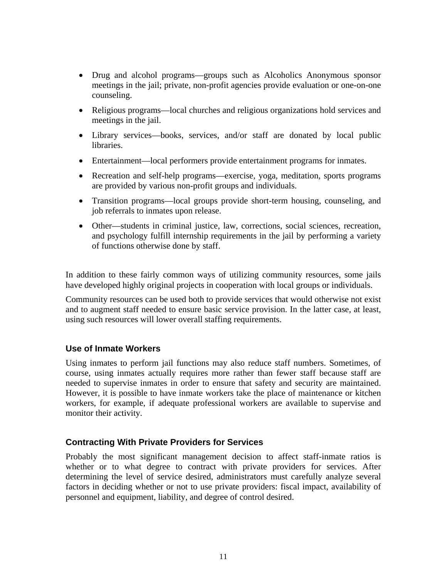- Drug and alcohol programs—groups such as Alcoholics Anonymous sponsor meetings in the jail; private, non-profit agencies provide evaluation or one-on-one counseling.
- Religious programs—local churches and religious organizations hold services and meetings in the jail.
- Library services—books, services, and/or staff are donated by local public libraries.
- Entertainment—local performers provide entertainment programs for inmates.
- Recreation and self-help programs—exercise, yoga, meditation, sports programs are provided by various non-profit groups and individuals.
- Transition programs—local groups provide short-term housing, counseling, and job referrals to inmates upon release.
- Other—students in criminal justice, law, corrections, social sciences, recreation, and psychology fulfill internship requirements in the jail by performing a variety of functions otherwise done by staff.

In addition to these fairly common ways of utilizing community resources, some jails have developed highly original projects in cooperation with local groups or individuals.

Community resources can be used both to provide services that would otherwise not exist and to augment staff needed to ensure basic service provision. In the latter case, at least, using such resources will lower overall staffing requirements.

#### **Use of Inmate Workers**

Using inmates to perform jail functions may also reduce staff numbers. Sometimes, of course, using inmates actually requires more rather than fewer staff because staff are needed to supervise inmates in order to ensure that safety and security are maintained. However, it is possible to have inmate workers take the place of maintenance or kitchen workers, for example, if adequate professional workers are available to supervise and monitor their activity.

#### **Contracting With Private Providers for Services**

Probably the most significant management decision to affect staff-inmate ratios is whether or to what degree to contract with private providers for services. After determining the level of service desired, administrators must carefully analyze several factors in deciding whether or not to use private providers: fiscal impact, availability of personnel and equipment, liability, and degree of control desired.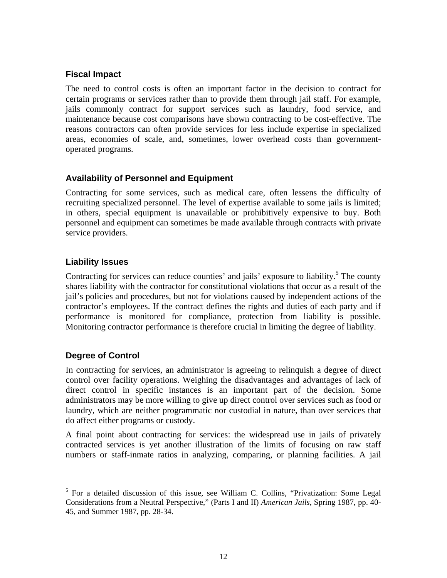### **Fiscal Impact**

The need to control costs is often an important factor in the decision to contract for certain programs or services rather than to provide them through jail staff. For example, jails commonly contract for support services such as laundry, food service, and maintenance because cost comparisons have shown contracting to be cost-effective. The reasons contractors can often provide services for less include expertise in specialized areas, economies of scale, and, sometimes, lower overhead costs than governmentoperated programs.

#### **Availability of Personnel and Equipment**

Contracting for some services, such as medical care, often lessens the difficulty of recruiting specialized personnel. The level of expertise available to some jails is limited; in others, special equipment is unavailable or prohibitively expensive to buy. Both personnel and equipment can sometimes be made available through contracts with private service providers.

### **Liability Issues**

Contracting for services can reduce counties' and jails' exposure to liability.<sup>5</sup> The county shares liability with the contractor for constitutional violations that occur as a result of the jail's policies and procedures, but not for violations caused by independent actions of the contractor's employees. If the contract defines the rights and duties of each party and if performance is monitored for compliance, protection from liability is possible. Monitoring contractor performance is therefore crucial in limiting the degree of liability.

## **Degree of Control**

In contracting for services, an administrator is agreeing to relinquish a degree of direct control over facility operations. Weighing the disadvantages and advantages of lack of direct control in specific instances is an important part of the decision. Some administrators may be more willing to give up direct control over services such as food or laundry, which are neither programmatic nor custodial in nature, than over services that do affect either programs or custody.

A final point about contracting for services: the widespread use in jails of privately contracted services is yet another illustration of the limits of focusing on raw staff numbers or staff-inmate ratios in analyzing, comparing, or planning facilities. A jail

<sup>&</sup>lt;sup>5</sup> For a detailed discussion of this issue, see William C. Collins, "Privatization: Some Legal Considerations from a Neutral Perspective," (Parts I and II) *American Jails*, Spring 1987, pp. 40- 45, and Summer 1987, pp. 28-34.